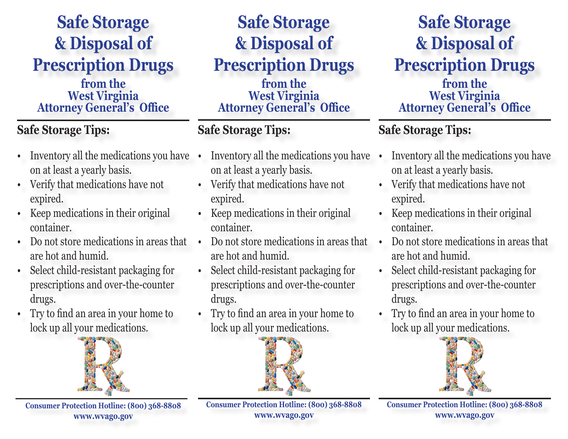### **Safe Storage & Disposal of Prescription Drugs**

#### **from the West Virginia Attorney General's Office**

### **Safe Storage Tips:**

- Inventory all the medications you have on at least a yearly basis.
- Verify that medications have not expired.
- Keep medications in their original container.
- Do not store medications in areas that are hot and humid.
- Select child-resistant packaging for prescriptions and over-the-counter drugs.
- Try to find an area in your home to lock up all your medications.



**Consumer Protection Hotline: (800) 368-8808 www.wvago.gov**

### **Safe Storage & Disposal of Prescription Drugs**

**from the West Virginia Attorney General's Office**

#### **Safe Storage Tips:**

- Inventory all the medications you have on at least a yearly basis.
- Verify that medications have not expired.
- Keep medications in their original container.
- Do not store medications in areas that are hot and humid.
- Select child-resistant packaging for prescriptions and over-the-counter drugs.
- Try to find an area in your home to lock up all your medications.



**Safe Storage & Disposal of Prescription Drugs**

**from the West Virginia Attorney General's Office**

### **Safe Storage Tips:**

- Inventory all the medications you have on at least a yearly basis.
	- Verify that medications have not expired.
- Keep medications in their original container.
- Do not store medications in areas that are hot and humid.
- Select child-resistant packaging for prescriptions and over-the-counter drugs.
- Try to find an area in your home to lock up all your medications.



**Consumer Protection Hotline: (800) 368-8808 www.wvago.gov**

**Consumer Protection Hotline: (800) 368-8808 www.wvago.gov**